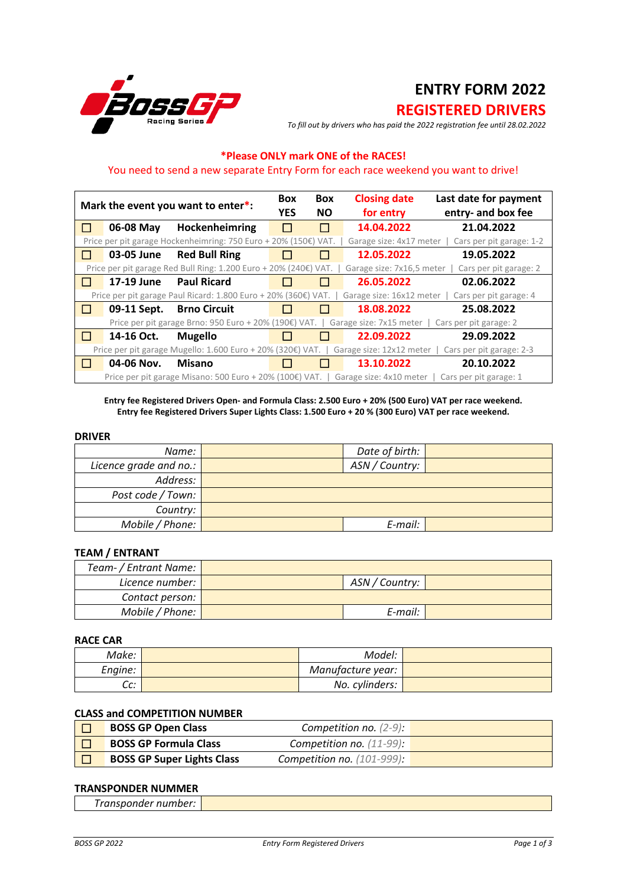

# **ENTRY FORM 2022**

# **REGISTERED DRIVERS**

*To fill out by drivers who has paid the 2022 registration fee until 28.02.2022*

## **\*Please ONLY mark ONE of the RACES!**

## You need to send a new separate Entry Form for each race weekend you want to drive!

|                                                                                                                      |             | Mark the event you want to enter*:                               | <b>Box</b><br><b>YES</b> | <b>Box</b><br><b>NO</b> | <b>Closing date</b><br>for entry | Last date for payment<br>entry- and box fee |
|----------------------------------------------------------------------------------------------------------------------|-------------|------------------------------------------------------------------|--------------------------|-------------------------|----------------------------------|---------------------------------------------|
| $\mathbf{L}$                                                                                                         | 06-08 May   | Hockenheimring                                                   |                          | $\Box$                  | 14.04.2022                       | 21.04.2022                                  |
|                                                                                                                      |             | Price per pit garage Hockenheimring: 750 Euro + 20% (150€) VAT.  |                          |                         | Garage size: 4x17 meter          | Cars per pit garage: 1-2                    |
| l 1                                                                                                                  | 03-05 June  | <b>Red Bull Ring</b>                                             |                          |                         | 12.05.2022                       | 19.05.2022                                  |
|                                                                                                                      |             | Price per pit garage Red Bull Ring: 1.200 Euro + 20% (240€) VAT. |                          |                         | Garage size: 7x16,5 meter        | Cars per pit garage: 2                      |
| $\perp$                                                                                                              | 17-19 June  | <b>Paul Ricard</b>                                               |                          |                         | 26.05.2022                       | 02.06.2022                                  |
| Price per pit garage Paul Ricard: 1.800 Euro + 20% (360€) VAT.<br>Garage size: 16x12 meter<br>Cars per pit garage: 4 |             |                                                                  |                          |                         |                                  |                                             |
| $\mathbf{L}$                                                                                                         | 09-11 Sept. | <b>Brno Circuit</b>                                              |                          |                         | 18.08.2022                       | 25.08.2022                                  |
|                                                                                                                      |             | Price per pit garage Brno: 950 Euro + 20% (190€) VAT.            |                          |                         | Garage size: 7x15 meter          | Cars per pit garage: 2                      |
| $\perp$                                                                                                              | 14-16 Oct.  | <b>Mugello</b>                                                   |                          |                         | 22.09.2022                       | 29.09.2022                                  |
|                                                                                                                      |             | Price per pit garage Mugello: 1.600 Euro + 20% (320€) VAT.       |                          |                         | Garage size: 12x12 meter         | Cars per pit garage: 2-3                    |
| $\perp$                                                                                                              | 04-06 Nov.  | <b>Misano</b>                                                    |                          |                         | 13.10.2022                       | 20.10.2022                                  |
|                                                                                                                      |             | Price per pit garage Misano: 500 Euro + 20% (100€) VAT.          |                          |                         | Garage size: 4x10 meter          | Cars per pit garage: 1                      |

**Entry fee Registered Drivers Open- and Formula Class: 2.500 Euro + 20% (500 Euro) VAT per race weekend. Entry fee Registered Drivers Super Lights Class: 1.500 Euro + 20 % (300 Euro) VAT per race weekend.**

#### **DRIVER**

| Name:                  | Date of birth: |  |
|------------------------|----------------|--|
| Licence grade and no.: | ASN / Country: |  |
| Address:               |                |  |
| Post code / Town:      |                |  |
| Country:               |                |  |
| Mobile / Phone:        | E-mail:        |  |

#### **TEAM / ENTRANT**

| Team- / Entrant Name: |                  |  |
|-----------------------|------------------|--|
| Licence number:       | ASN / Country: ' |  |
| Contact person:       |                  |  |
| Mobile / Phone:       | E-mail:          |  |

#### **RACE CAR**

| Make:         | Model:            |  |
|---------------|-------------------|--|
| Engine:       | Manufacture year: |  |
| $\sim$<br>uu. | No. cylinders:    |  |

### **CLASS and COMPETITION NUMBER**

| <b>BOSS GP Open Class</b>         | Competition no. $(2-9)$ :     |  |
|-----------------------------------|-------------------------------|--|
| <b>BOSS GP Formula Class</b>      | Competition no. $(11-99)$ :   |  |
| <b>BOSS GP Super Lights Class</b> | Competition no. $(101-999)$ : |  |

#### **TRANSPONDER NUMMER**

| __<br>_____<br>__ |  |
|-------------------|--|
| $ -$<br>.<br>. .  |  |
|                   |  |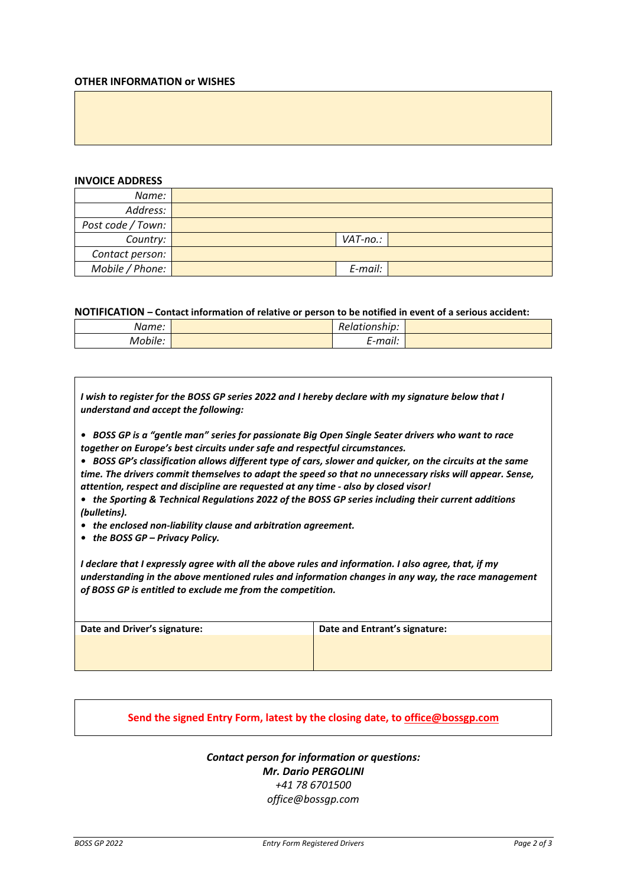#### **OTHER INFORMATION or WISHES**

#### **INVOICE ADDRESS**

| Name:             |          |  |
|-------------------|----------|--|
| Address:          |          |  |
| Post code / Town: |          |  |
| Country:          | VAT-no.: |  |
| Contact person:   |          |  |
| Mobile / Phone:   | E-mail:  |  |

**NOTIFICATION – Contact information of relative or person to be notified in event of a serious accident:**

| Name:   | . .<br>Relationship: |  |
|---------|----------------------|--|
| Mobile: | . .<br>E-mail:       |  |

*I wish to register for the BOSS GP series 2022 and I hereby declare with my signature below that I understand and accept the following:*

*• BOSS GP is a "gentle man" series for passionate Big Open Single Seater drivers who want to race together on Europe's best circuits under safe and respectful circumstances.* 

*• BOSS GP's classification allows different type of cars, slower and quicker, on the circuits at the same time. The drivers commit themselves to adapt the speed so that no unnecessary risks will appear. Sense, attention, respect and discipline are requested at any time - also by closed visor!*

- *the Sporting & Technical Regulations 2022 of the BOSS GP series including their current additions (bulletins).*
- *the enclosed non-liability clause and arbitration agreement.*
- *the BOSS GP – Privacy Policy.*

*I declare that I expressly agree with all the above rules and information. I also agree, that, if my understanding in the above mentioned rules and information changes in any way, the race management of BOSS GP is entitled to exclude me from the competition.*

| Date and Driver's signature: | Date and Entrant's signature: |
|------------------------------|-------------------------------|
|                              |                               |
|                              |                               |
|                              |                               |

### **Send the signed Entry Form, latest by the closing date, to office@bossgp.com**

*Contact person for information or questions: Mr. Dario PERGOLINI +41 78 6701500 office@bossgp.com*